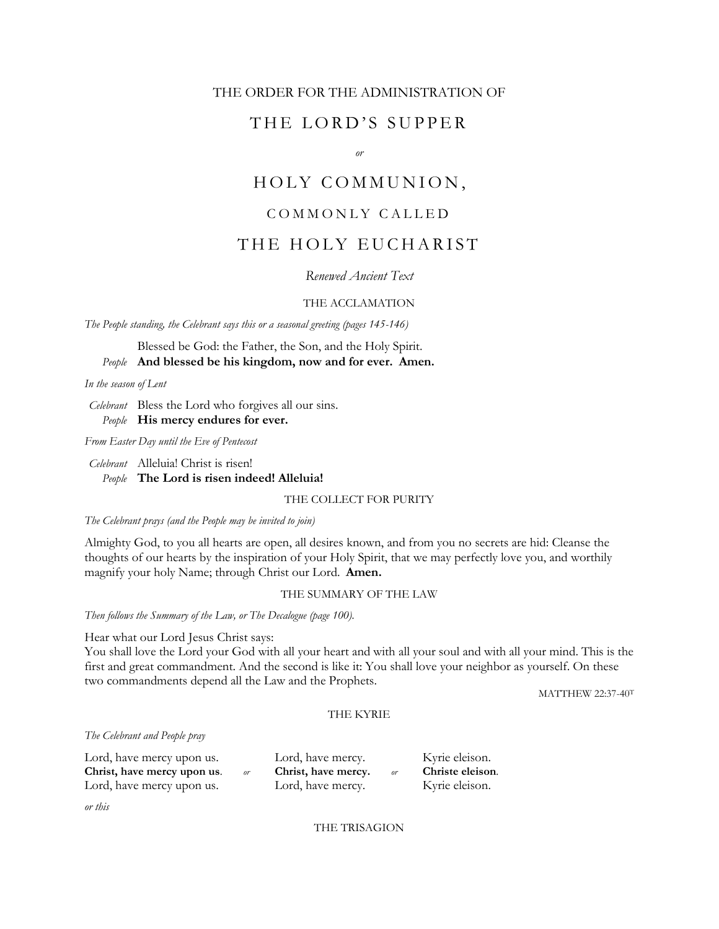## THE ORDER FOR THE ADMINISTRATION OF

## THE LORD'S SUPPER

*or*

# HOLY COMMUNION,

## COMMONLY CALLED

## THE HOLY EUCHARIST

*Renewed Ancient Text*

## THE ACCLAMATION

*The People standing, the Celebrant says this or a seasonal greeting (pages 145-146)*

Blessed be God: the Father, the Son, and the Holy Spirit.

*People* **And blessed be his kingdom, now and for ever. Amen.**

*In the season of Lent*

*Celebrant* Bless the Lord who forgives all our sins. *People* **His mercy endures for ever.**

*From Easter Day until the Eve of Pentecost*

*Celebrant* Alleluia! Christ is risen! *People* **The Lord is risen indeed! Alleluia!**

## THE COLLECT FOR PURITY

*The Celebrant prays (and the People may be invited to join)*

Almighty God, to you all hearts are open, all desires known, and from you no secrets are hid: Cleanse the thoughts of our hearts by the inspiration of your Holy Spirit, that we may perfectly love you, and worthily magnify your holy Name; through Christ our Lord. **Amen.**

## THE SUMMARY OF THE LAW

*Then follows the Summary of the Law, or The Decalogue (page 100).*

Hear what our Lord Jesus Christ says:

You shall love the Lord your God with all your heart and with all your soul and with all your mind. This is the first and great commandment. And the second is like it: You shall love your neighbor as yourself. On these two commandments depend all the Law and the Prophets.

MATTHEW 22:37-40<sup>T</sup>

## THE KYRIE

#### *The Celebrant and People pray*

| Lord, have mercy upon us.         | Lord, have mercy.         | Kyrie eleison.   |
|-----------------------------------|---------------------------|------------------|
| Christ, have mercy upon us.<br>or | Christ, have mercy.<br>or | Christe eleison. |
| Lord, have mercy upon us.         | Lord, have mercy.         | Kyrie eleison.   |

*or this*

THE TRISAGION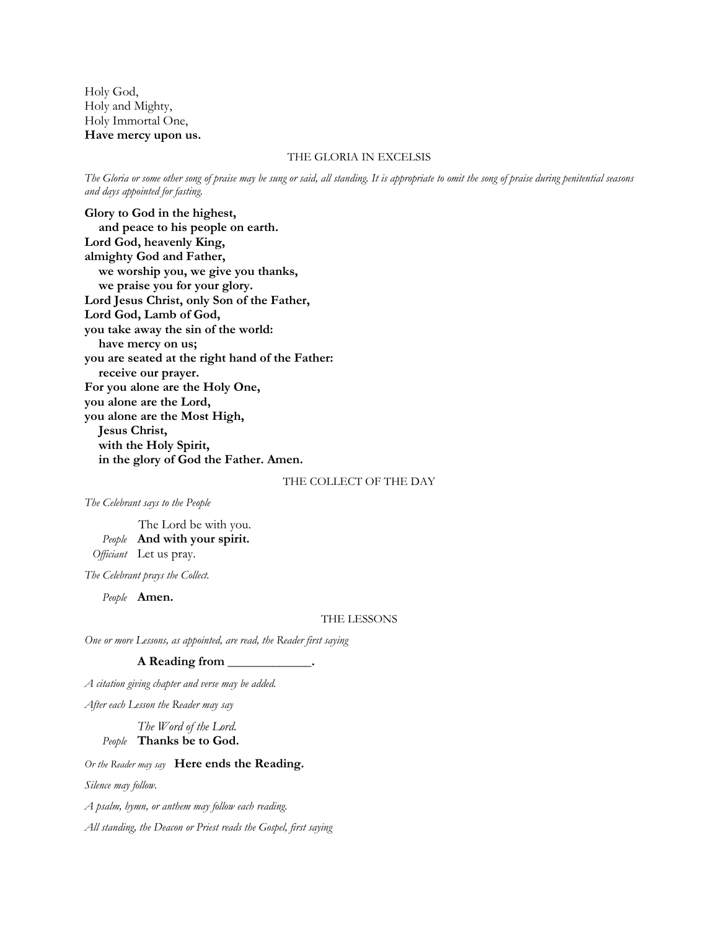Holy God, Holy and Mighty, Holy Immortal One, **Have mercy upon us.**

#### THE GLORIA IN EXCELSIS

*The Gloria or some other song of praise may be sung or said, all standing. It is appropriate to omit the song of praise during penitential seasons and days appointed for fasting.*

**Glory to God in the highest, and peace to his people on earth. Lord God, heavenly King, almighty God and Father, we worship you, we give you thanks, we praise you for your glory. Lord Jesus Christ, only Son of the Father, Lord God, Lamb of God, you take away the sin of the world: have mercy on us; you are seated at the right hand of the Father: receive our prayer. For you alone are the Holy One, you alone are the Lord, you alone are the Most High, Jesus Christ, with the Holy Spirit, in the glory of God the Father. Amen.**

THE COLLECT OF THE DAY

*The Celebrant says to the People*

The Lord be with you. *People* **And with your spirit.** *Officiant* Let us pray.

*The Celebrant prays the Collect.*

*People* **Amen.**

THE LESSONS

*One or more Lessons, as appointed, are read, the Reader first saying*

#### **A Reading from \_\_\_\_\_\_\_\_\_\_\_\_\_.**

*A citation giving chapter and verse may be added.* 

*After each Lesson the Reader may say*

*The Word of the Lord.*

*People* **Thanks be to God.**

## *Or the Reader may say* **Here ends the Reading.**

*Silence may follow.*

*A psalm, hymn, or anthem may follow each reading.*

*All standing, the Deacon or Priest reads the Gospel, first saying*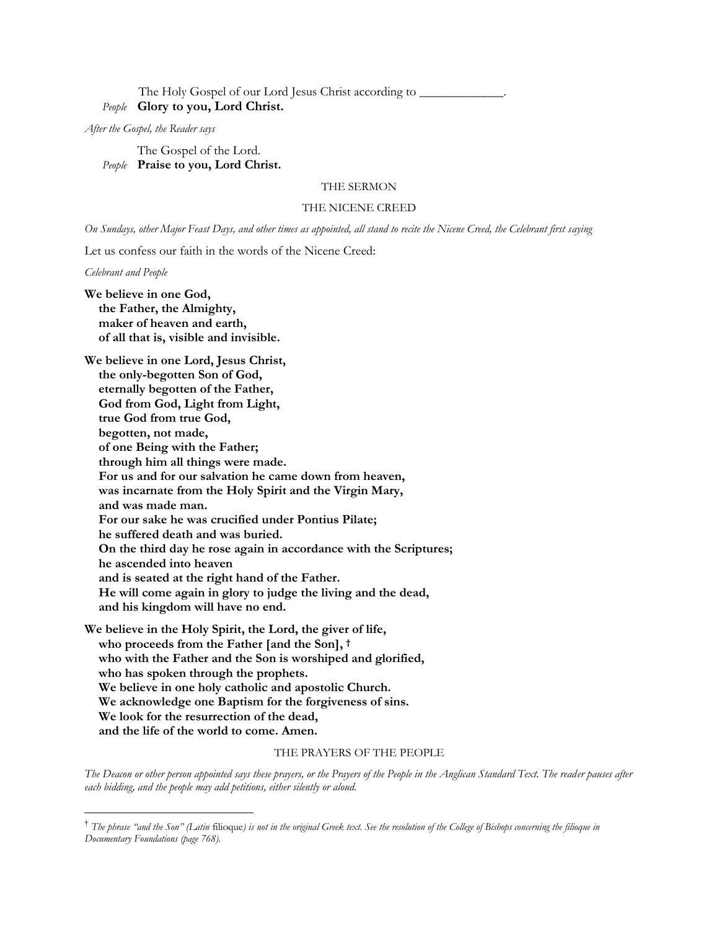## The Holy Gospel of our Lord Jesus Christ according to \_\_\_\_\_\_\_\_\_\_\_\_\_\_\_\_\_\_\_\_\_\_\_\_\_\_ *People* **Glory to you, Lord Christ.**

*After the Gospel, the Reader says*

The Gospel of the Lord. *People* **Praise to you, Lord Christ.**

## THE SERMON

#### THE NICENE CREED

*On Sundays, other Major Feast Days, and other times as appointed, all stand to recite the Nicene Creed, the Celebrant first saying*

Let us confess our faith in the words of the Nicene Creed:

*Celebrant and People*

**We believe in one God, the Father, the Almighty, maker of heaven and earth, of all that is, visible and invisible.**

**We believe in one Lord, Jesus Christ, the only-begotten Son of God, eternally begotten of the Father, God from God, Light from Light, true God from true God, begotten, not made, of one Being with the Father; through him all things were made. For us and for our salvation he came down from heaven, was incarnate from the Holy Spirit and the Virgin Mary, and was made man. For our sake he was crucified under Pontius Pilate; he suffered death and was buried. On the third day he rose again in accordance with the Scriptures; he ascended into heaven and is seated at the right hand of the Father. He will come again in glory to judge the living and the dead, and his kingdom will have no end.**

**We believe in the Holy Spirit, the Lord, the giver of life, who proceeds from the Father [and the Son], † who with the Father and the Son is worshiped and glorified, who has spoken through the prophets. We believe in one holy catholic and apostolic Church. We acknowledge one Baptism for the forgiveness of sins. We look for the resurrection of the dead, and the life of the world to come. Amen.**

#### THE PRAYERS OF THE PEOPLE

*The Deacon or other person appointed says these prayers, or the Prayers of the People in the Anglican Standard Text. The reader pauses after each bidding, and the people may add petitions, either silently or aloud.*

<sup>†</sup> *The phrase "and the Son" (Latin* filioque*) is not in the original Greek text. See the resolution of the College of Bishops concerning the filioque in Documentary Foundations (page 768).*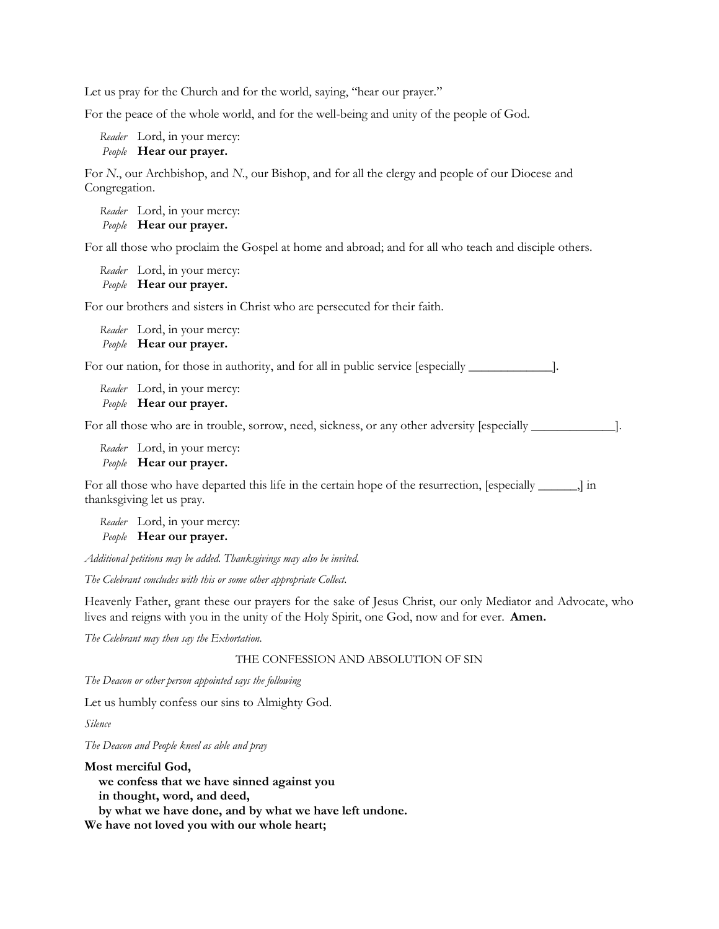Let us pray for the Church and for the world, saying, "hear our prayer."

For the peace of the whole world, and for the well-being and unity of the people of God.

*Reader* Lord, in your mercy: *People* **Hear our prayer.**

For *N*., our Archbishop, and *N*., our Bishop, and for all the clergy and people of our Diocese and Congregation.

*Reader* Lord, in your mercy: *People* **Hear our prayer.**

For all those who proclaim the Gospel at home and abroad; and for all who teach and disciple others.

```
Reader Lord, in your mercy:
People Hear our prayer.
```
For our brothers and sisters in Christ who are persecuted for their faith.

*Reader* Lord, in your mercy: *People* **Hear our prayer.**

For our nation, for those in authority, and for all in public service [especially  $\_\_\_\_\_\_\_\$ ].

*Reader* Lord, in your mercy: *People* **Hear our prayer.**

For all those who are in trouble, sorrow, need, sickness, or any other adversity [especially \_\_\_\_\_\_\_\_\_\_\_\_\_].

*Reader* Lord, in your mercy: *People* **Hear our prayer.**

For all those who have departed this life in the certain hope of the resurrection, [especially \_\_\_\_\_\_,] in thanksgiving let us pray.

*Reader* Lord, in your mercy: *People* **Hear our prayer.**

*Additional petitions may be added. Thanksgivings may also be invited.*

*The Celebrant concludes with this or some other appropriate Collect.*

Heavenly Father, grant these our prayers for the sake of Jesus Christ, our only Mediator and Advocate, who lives and reigns with you in the unity of the Holy Spirit, one God, now and for ever. **Amen.**

*The Celebrant may then say the Exhortation.*

THE CONFESSION AND ABSOLUTION OF SIN

*The Deacon or other person appointed says the following*

Let us humbly confess our sins to Almighty God.

*Silence*

*The Deacon and People kneel as able and pray*

#### **Most merciful God,**

**we confess that we have sinned against you** 

**in thought, word, and deed,**

**by what we have done, and by what we have left undone.** 

**We have not loved you with our whole heart;**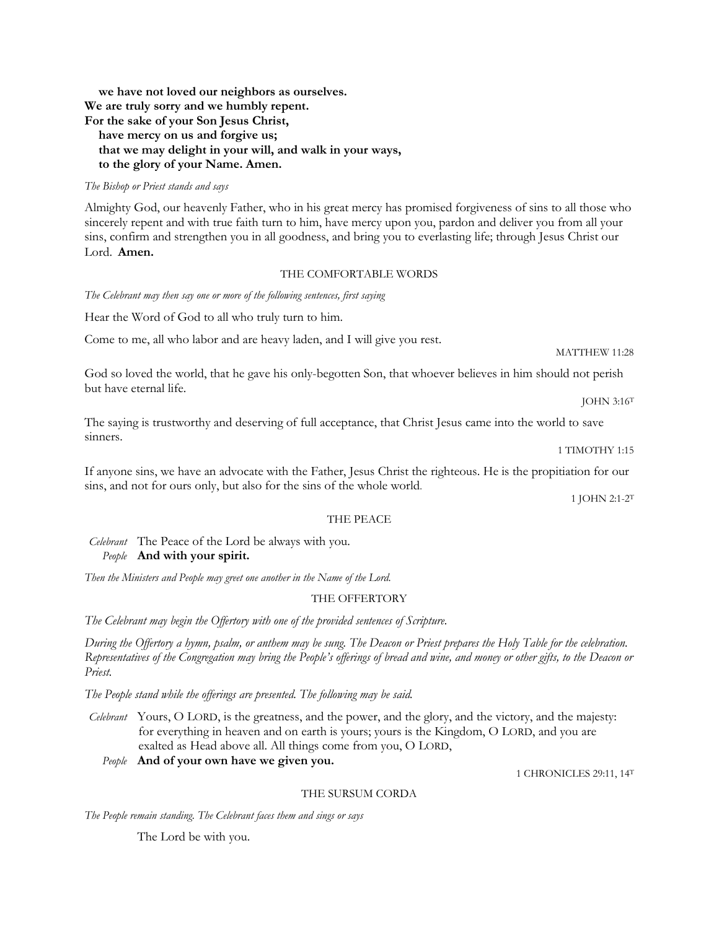**we have not loved our neighbors as ourselves. We are truly sorry and we humbly repent. For the sake of your Son Jesus Christ, have mercy on us and forgive us; that we may delight in your will, and walk in your ways, to the glory of your Name. Amen.**

## *The Bishop or Priest stands and says*

Almighty God, our heavenly Father, who in his great mercy has promised forgiveness of sins to all those who sincerely repent and with true faith turn to him, have mercy upon you, pardon and deliver you from all your sins, confirm and strengthen you in all goodness, and bring you to everlasting life; through Jesus Christ our Lord. **Amen.**

## THE COMFORTABLE WORDS

*The Celebrant may then say one or more of the following sentences, first saying*

Hear the Word of God to all who truly turn to him.

Come to me, all who labor and are heavy laden, and I will give you rest.

God so loved the world, that he gave his only-begotten Son, that whoever believes in him should not perish but have eternal life.

The saying is trustworthy and deserving of full acceptance, that Christ Jesus came into the world to save sinners.

1 TIMOTHY 1:15

JOHN 3:16<sup>T</sup>

MATTHEW 11:28

If anyone sins, we have an advocate with the Father, Jesus Christ the righteous. He is the propitiation for our sins, and not for ours only, but also for the sins of the whole world.

1 JOHN 2:1-2<sup>T</sup>

#### THE PEACE

*Celebrant* The Peace of the Lord be always with you. *People* **And with your spirit.**

*Then the Ministers and People may greet one another in the Name of the Lord.*

## THE OFFERTORY

*The Celebrant may begin the Offertory with one of the provided sentences of Scripture.*

*During the Offertory a hymn, psalm, or anthem may be sung. The Deacon or Priest prepares the Holy Table for the celebration. Representatives of the Congregation may bring the People's offerings of bread and wine, and money or other gifts, to the Deacon or Priest.*

*The People stand while the offerings are presented. The following may be said.*

*Celebrant* Yours, O LORD, is the greatness, and the power, and the glory, and the victory, and the majesty: for everything in heaven and on earth is yours; yours is the Kingdom, O LORD, and you are exalted as Head above all. All things come from you, O LORD,

*People* **And of your own have we given you.**

1 CHRONICLES 29:11, 14<sup>T</sup>

#### THE SURSUM CORDA

*The People remain standing. The Celebrant faces them and sings or says*

The Lord be with you.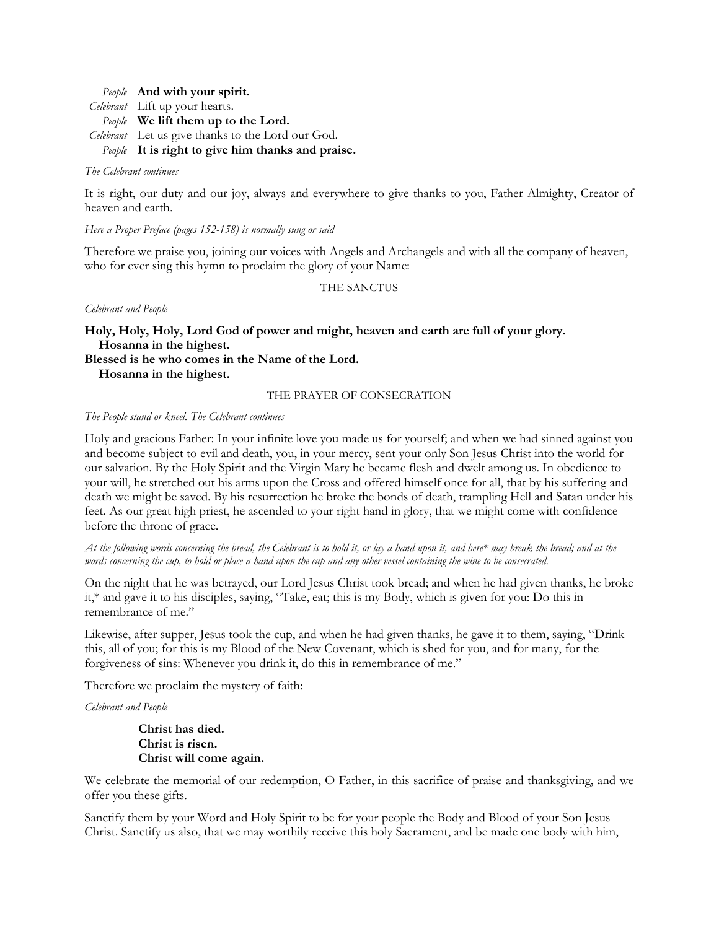*People* **And with your spirit.** *Celebrant* Lift up your hearts. *People* **We lift them up to the Lord.** *Celebrant* Let us give thanks to the Lord our God. *People* **It is right to give him thanks and praise.**

## *The Celebrant continues*

It is right, our duty and our joy, always and everywhere to give thanks to you, Father Almighty, Creator of heaven and earth.

## *Here a Proper Preface (pages 152-158) is normally sung or said*

Therefore we praise you, joining our voices with Angels and Archangels and with all the company of heaven, who for ever sing this hymn to proclaim the glory of your Name:

## THE SANCTUS

*Celebrant and People*

**Holy, Holy, Holy, Lord God of power and might, heaven and earth are full of your glory. Hosanna in the highest.**

**Blessed is he who comes in the Name of the Lord.**

**Hosanna in the highest.**

## THE PRAYER OF CONSECRATION

## *The People stand or kneel. The Celebrant continues*

Holy and gracious Father: In your infinite love you made us for yourself; and when we had sinned against you and become subject to evil and death, you, in your mercy, sent your only Son Jesus Christ into the world for our salvation. By the Holy Spirit and the Virgin Mary he became flesh and dwelt among us. In obedience to your will, he stretched out his arms upon the Cross and offered himself once for all, that by his suffering and death we might be saved. By his resurrection he broke the bonds of death, trampling Hell and Satan under his feet. As our great high priest, he ascended to your right hand in glory, that we might come with confidence before the throne of grace.

*At the following words concerning the bread, the Celebrant is to hold it, or lay a hand upon it, and here\* may break the bread; and at the words concerning the cup, to hold or place a hand upon the cup and any other vessel containing the wine to be consecrated.*

On the night that he was betrayed, our Lord Jesus Christ took bread; and when he had given thanks, he broke it,\* and gave it to his disciples, saying, "Take, eat; this is my Body, which is given for you: Do this in remembrance of me."

Likewise, after supper, Jesus took the cup, and when he had given thanks, he gave it to them, saying, "Drink this, all of you; for this is my Blood of the New Covenant, which is shed for you, and for many, for the forgiveness of sins: Whenever you drink it, do this in remembrance of me."

Therefore we proclaim the mystery of faith:

*Celebrant and People*

**Christ has died. Christ is risen. Christ will come again.**

We celebrate the memorial of our redemption, O Father, in this sacrifice of praise and thanksgiving, and we offer you these gifts.

Sanctify them by your Word and Holy Spirit to be for your people the Body and Blood of your Son Jesus Christ. Sanctify us also, that we may worthily receive this holy Sacrament, and be made one body with him,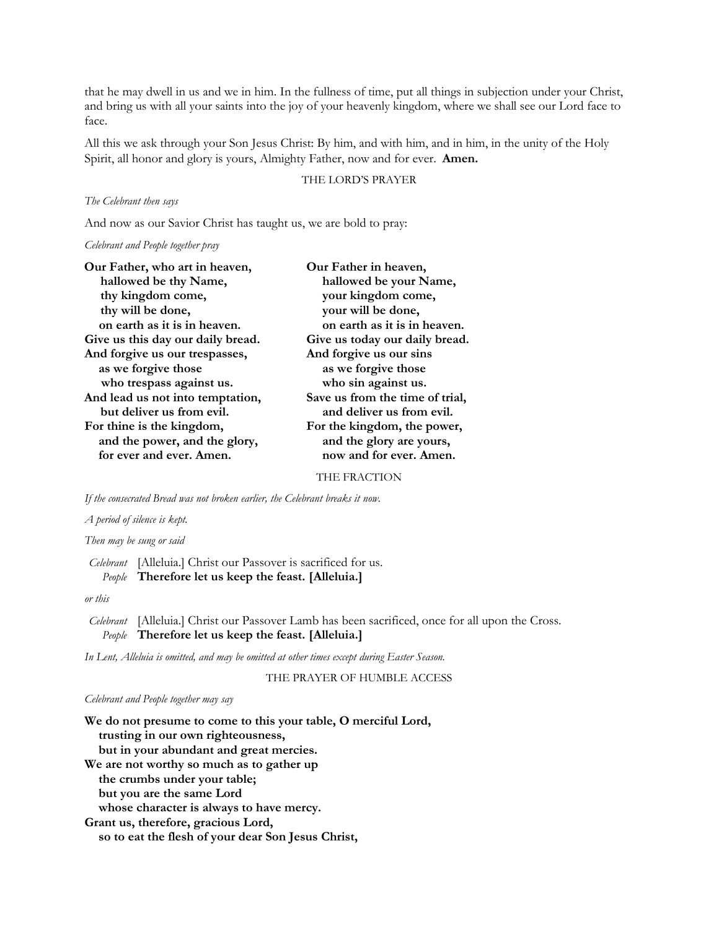that he may dwell in us and we in him. In the fullness of time, put all things in subjection under your Christ, and bring us with all your saints into the joy of your heavenly kingdom, where we shall see our Lord face to face.

All this we ask through your Son Jesus Christ: By him, and with him, and in him, in the unity of the Holy Spirit, all honor and glory is yours, Almighty Father, now and for ever. **Amen.**

## THE LORD'S PRAYER

#### *The Celebrant then says*

And now as our Savior Christ has taught us, we are bold to pray:

#### *Celebrant and People together pray*

| Our Father, who art in heaven,    | Our Father in heaven,           |  |
|-----------------------------------|---------------------------------|--|
| hallowed be thy Name,             | hallowed be your Name,          |  |
| thy kingdom come,                 | your kingdom come,              |  |
| thy will be done,                 | your will be done,              |  |
| on earth as it is in heaven.      | on earth as it is in heaven.    |  |
| Give us this day our daily bread. | Give us today our daily bread.  |  |
| And forgive us our trespasses,    | And forgive us our sins         |  |
| as we forgive those               | as we forgive those             |  |
| who trespass against us.          | who sin against us.             |  |
| And lead us not into temptation,  | Save us from the time of trial, |  |
| but deliver us from evil.         | and deliver us from evil.       |  |
| For thine is the kingdom,         | For the kingdom, the power,     |  |
| and the power, and the glory,     | and the glory are yours,        |  |
| for ever and ever. Amen.          | now and for ever. Amen.         |  |
|                                   |                                 |  |

THE FRACTION

*If the consecrated Bread was not broken earlier, the Celebrant breaks it now.*

#### *A period of silence is kept.*

*Then may be sung or said*

*Celebrant* [Alleluia.] Christ our Passover is sacrificed for us. *People* **Therefore let us keep the feast. [Alleluia.]**

*or this*

*Celebrant* [Alleluia.] Christ our Passover Lamb has been sacrificed, once for all upon the Cross. *People* **Therefore let us keep the feast. [Alleluia.]**

*In Lent, Alleluia is omitted, and may be omitted at other times except during Easter Season.*

THE PRAYER OF HUMBLE ACCESS

#### *Celebrant and People together may say*

**We do not presume to come to this your table, O merciful Lord, trusting in our own righteousness, but in your abundant and great mercies. We are not worthy so much as to gather up the crumbs under your table; but you are the same Lord whose character is always to have mercy. Grant us, therefore, gracious Lord, so to eat the flesh of your dear Son Jesus Christ,**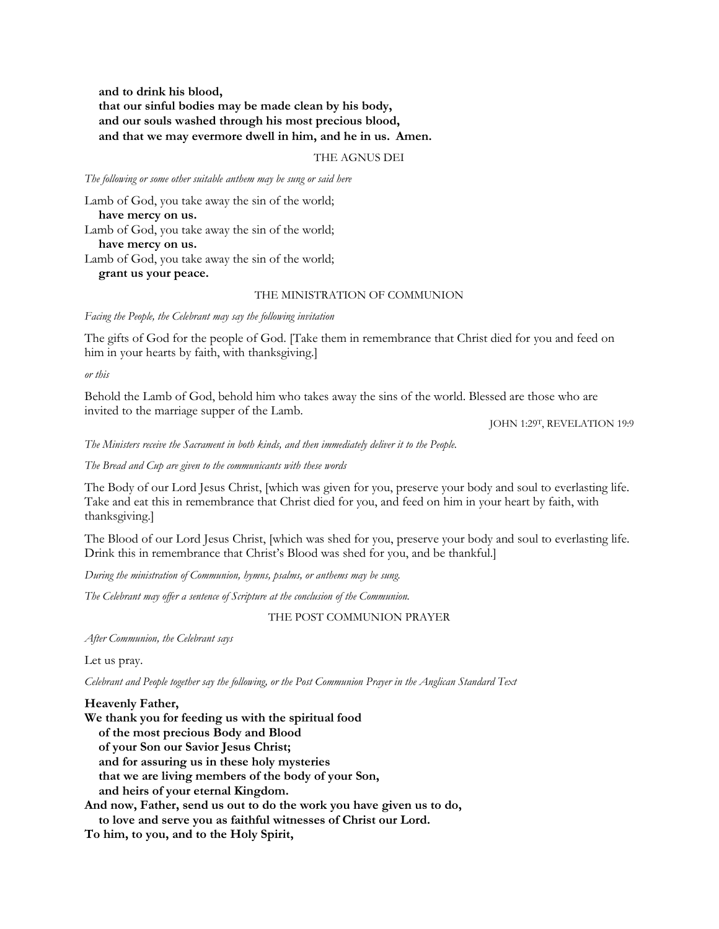**and to drink his blood, that our sinful bodies may be made clean by his body, and our souls washed through his most precious blood, and that we may evermore dwell in him, and he in us. Amen.**

### THE AGNUS DEI

*The following or some other suitable anthem may be sung or said here*

Lamb of God, you take away the sin of the world; **have mercy on us.** Lamb of God, you take away the sin of the world; **have mercy on us.** Lamb of God, you take away the sin of the world; **grant us your peace.**

#### THE MINISTRATION OF COMMUNION

*Facing the People, the Celebrant may say the following invitation*

The gifts of God for the people of God. [Take them in remembrance that Christ died for you and feed on him in your hearts by faith, with thanksgiving.]

*or this*

Behold the Lamb of God, behold him who takes away the sins of the world. Blessed are those who are invited to the marriage supper of the Lamb.

JOHN 1:29T, REVELATION 19:9

*The Ministers receive the Sacrament in both kinds, and then immediately deliver it to the People.*

*The Bread and Cup are given to the communicants with these words*

The Body of our Lord Jesus Christ, [which was given for you, preserve your body and soul to everlasting life. Take and eat this in remembrance that Christ died for you, and feed on him in your heart by faith, with thanksgiving.]

The Blood of our Lord Jesus Christ, [which was shed for you, preserve your body and soul to everlasting life. Drink this in remembrance that Christ's Blood was shed for you, and be thankful.]

*During the ministration of Communion, hymns, psalms, or anthems may be sung.*

*The Celebrant may offer a sentence of Scripture at the conclusion of the Communion.*

THE POST COMMUNION PRAYER

*After Communion, the Celebrant says*

Let us pray.

*Celebrant and People together say the following, or the Post Communion Prayer in the Anglican Standard Text*

## **Heavenly Father,**

**We thank you for feeding us with the spiritual food of the most precious Body and Blood of your Son our Savior Jesus Christ; and for assuring us in these holy mysteries that we are living members of the body of your Son, and heirs of your eternal Kingdom. And now, Father, send us out to do the work you have given us to do,**

**to love and serve you as faithful witnesses of Christ our Lord.** 

**To him, to you, and to the Holy Spirit,**